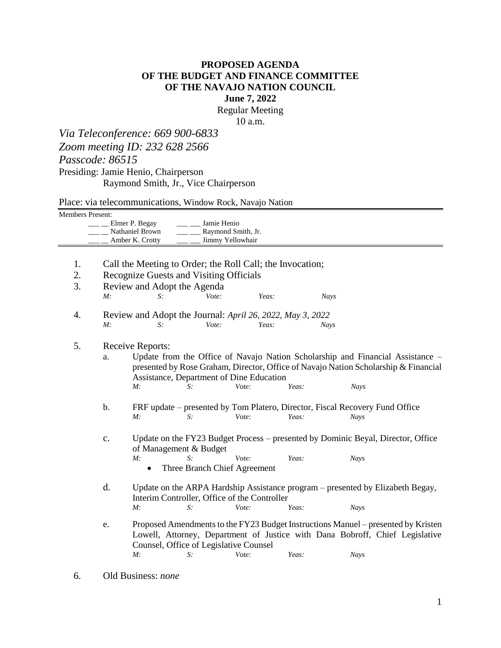## **PROPOSED AGENDA OF THE BUDGET AND FINANCE COMMITTEE OF THE NAVAJO NATION COUNCIL June 7, 2022**

Regular Meeting

10 a.m.

*Via Teleconference: 669 900-6833 Zoom meeting ID: 232 628 2566 Passcode: 86515* Presiding: Jamie Henio, Chairperson

Raymond Smith, Jr., Vice Chairperson

Place: via telecommunications, Window Rock, Navajo Nation

Members Present:

| Elmer P. Begay  | Jamie Henio        |
|-----------------|--------------------|
| Nathaniel Brown | Raymond Smith, Jr. |
| Amber K. Crotty | Jimmy Yellowhair   |

- 1. Call the Meeting to Order; the Roll Call; the Invocation;
- 2. Recognize Guests and Visiting Officials

| ۷.<br>3. |    | Recognize Guests and Visiting Officials<br>Review and Adopt the Agenda                                                                                                                                                                                         |                                       |       |       |                                                                                             |                                                                                                                                                                   |  |  |
|----------|----|----------------------------------------------------------------------------------------------------------------------------------------------------------------------------------------------------------------------------------------------------------------|---------------------------------------|-------|-------|---------------------------------------------------------------------------------------------|-------------------------------------------------------------------------------------------------------------------------------------------------------------------|--|--|
|          | M: | $S$ :                                                                                                                                                                                                                                                          | Vote:                                 | Yeas: |       | Nays                                                                                        |                                                                                                                                                                   |  |  |
| 4.       |    | Review and Adopt the Journal: April 26, 2022, May 3, 2022                                                                                                                                                                                                      |                                       |       |       |                                                                                             |                                                                                                                                                                   |  |  |
|          | M: | $S$ :                                                                                                                                                                                                                                                          | Vote:                                 | Yeas: |       | <b>Nays</b>                                                                                 |                                                                                                                                                                   |  |  |
| 5.       |    | Receive Reports:                                                                                                                                                                                                                                               |                                       |       |       |                                                                                             |                                                                                                                                                                   |  |  |
|          | a. | Update from the Office of Navajo Nation Scholarship and Financial Assistance –<br>presented by Rose Graham, Director, Office of Navajo Nation Scholarship & Financial<br>Assistance, Department of Dine Education<br>Vote:<br>Yeas:<br>M:<br><b>Nays</b><br>S: |                                       |       |       |                                                                                             |                                                                                                                                                                   |  |  |
|          | b. | M:                                                                                                                                                                                                                                                             | S:                                    | Vote: | Yeas: | FRF update – presented by Tom Platero, Director, Fiscal Recovery Fund Office<br><b>Nays</b> |                                                                                                                                                                   |  |  |
|          | c. | of Management & Budget<br>M:                                                                                                                                                                                                                                   | $S$ :<br>Three Branch Chief Agreement | Vote: | Yeas: | <b>Nays</b>                                                                                 | Update on the FY23 Budget Process – presented by Dominic Beyal, Director, Office                                                                                  |  |  |
|          | d. | Interim Controller, Office of the Controller<br>M:                                                                                                                                                                                                             | S:                                    | Vote: | Yeas: | <b>Nays</b>                                                                                 | Update on the ARPA Hardship Assistance program – presented by Elizabeth Begay,                                                                                    |  |  |
|          | e. |                                                                                                                                                                                                                                                                |                                       |       |       |                                                                                             | Proposed Amendments to the FY23 Budget Instructions Manuel – presented by Kristen<br>Lowell, Attorney, Department of Justice with Dana Bobroff, Chief Legislative |  |  |

Counsel, Office of Legislative Counsel *M: S: Vote: Yeas: Nays*

6. Old Business: *none*